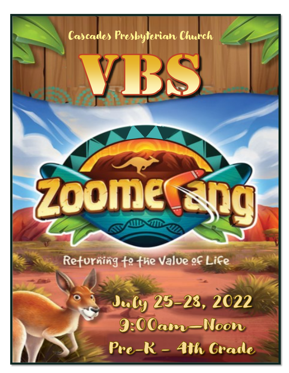